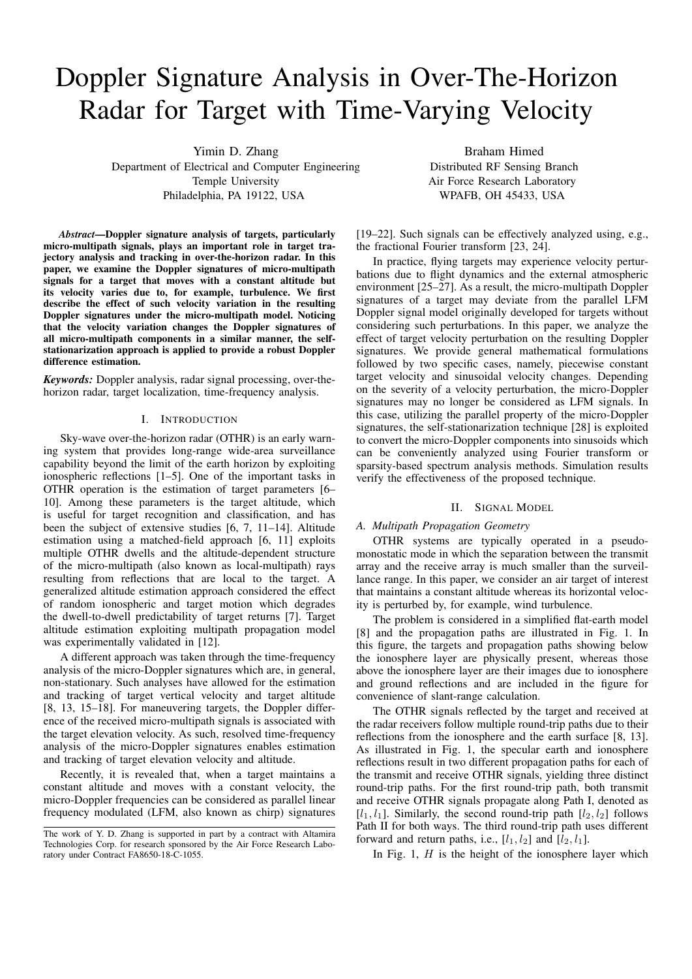# Doppler Signature Analysis in Over-The-Horizon Radar for Target with Time-Varying Velocity

Yimin D. Zhang Department of Electrical and Computer Engineering Temple University Philadelphia, PA 19122, USA

Braham Himed Distributed RF Sensing Branch Air Force Research Laboratory WPAFB, OH 45433, USA

*Abstract*—Doppler signature analysis of targets, particularly micro-multipath signals, plays an important role in target trajectory analysis and tracking in over-the-horizon radar. In this paper, we examine the Doppler signatures of micro-multipath signals for a target that moves with a constant altitude but its velocity varies due to, for example, turbulence. We first describe the effect of such velocity variation in the resulting Doppler signatures under the micro-multipath model. Noticing that the velocity variation changes the Doppler signatures of all micro-multipath components in a similar manner, the selfstationarization approach is applied to provide a robust Doppler difference estimation.

*Keywords:* Doppler analysis, radar signal processing, over-thehorizon radar, target localization, time-frequency analysis.

#### I. INTRODUCTION

Sky-wave over-the-horizon radar (OTHR) is an early warning system that provides long-range wide-area surveillance capability beyond the limit of the earth horizon by exploiting ionospheric reflections [1–5]. One of the important tasks in OTHR operation is the estimation of target parameters [6– 10]. Among these parameters is the target altitude, which is useful for target recognition and classification, and has been the subject of extensive studies [6, 7, 11–14]. Altitude estimation using a matched-field approach [6, 11] exploits multiple OTHR dwells and the altitude-dependent structure of the micro-multipath (also known as local-multipath) rays resulting from reflections that are local to the target. A generalized altitude estimation approach considered the effect of random ionospheric and target motion which degrades the dwell-to-dwell predictability of target returns [7]. Target altitude estimation exploiting multipath propagation model was experimentally validated in [12].

A different approach was taken through the time-frequency analysis of the micro-Doppler signatures which are, in general, non-stationary. Such analyses have allowed for the estimation and tracking of target vertical velocity and target altitude [8, 13, 15–18]. For maneuvering targets, the Doppler difference of the received micro-multipath signals is associated with the target elevation velocity. As such, resolved time-frequency analysis of the micro-Doppler signatures enables estimation and tracking of target elevation velocity and altitude.

Recently, it is revealed that, when a target maintains a constant altitude and moves with a constant velocity, the micro-Doppler frequencies can be considered as parallel linear frequency modulated (LFM, also known as chirp) signatures

[19–22]. Such signals can be effectively analyzed using, e.g., the fractional Fourier transform [23, 24].

In practice, flying targets may experience velocity perturbations due to flight dynamics and the external atmospheric environment [25–27]. As a result, the micro-multipath Doppler signatures of a target may deviate from the parallel LFM Doppler signal model originally developed for targets without considering such perturbations. In this paper, we analyze the effect of target velocity perturbation on the resulting Doppler signatures. We provide general mathematical formulations followed by two specific cases, namely, piecewise constant target velocity and sinusoidal velocity changes. Depending on the severity of a velocity perturbation, the micro-Doppler signatures may no longer be considered as LFM signals. In this case, utilizing the parallel property of the micro-Doppler signatures, the self-stationarization technique [28] is exploited to convert the micro-Doppler components into sinusoids which can be conveniently analyzed using Fourier transform or sparsity-based spectrum analysis methods. Simulation results verify the effectiveness of the proposed technique.

#### II. SIGNAL MODEL

## *A. Multipath Propagation Geometry*

OTHR systems are typically operated in a pseudomonostatic mode in which the separation between the transmit array and the receive array is much smaller than the surveillance range. In this paper, we consider an air target of interest that maintains a constant altitude whereas its horizontal velocity is perturbed by, for example, wind turbulence.

The problem is considered in a simplified flat-earth model [8] and the propagation paths are illustrated in Fig. 1. In this figure, the targets and propagation paths showing below the ionosphere layer are physically present, whereas those above the ionosphere layer are their images due to ionosphere and ground reflections and are included in the figure for convenience of slant-range calculation.

The OTHR signals reflected by the target and received at the radar receivers follow multiple round-trip paths due to their reflections from the ionosphere and the earth surface [8, 13]. As illustrated in Fig. 1, the specular earth and ionosphere reflections result in two different propagation paths for each of the transmit and receive OTHR signals, yielding three distinct round-trip paths. For the first round-trip path, both transmit and receive OTHR signals propagate along Path I, denoted as  $[l_1, l_1]$ . Similarly, the second round-trip path  $[l_2, l_2]$  follows Path II for both ways. The third round-trip path uses different forward and return paths, i.e.,  $[l_1, l_2]$  and  $[l_2, l_1]$ .

In Fig. 1,  $H$  is the height of the ionosphere layer which

The work of Y. D. Zhang is supported in part by a contract with Altamira Technologies Corp. for research sponsored by the Air Force Research Laboratory under Contract FA8650-18-C-1055.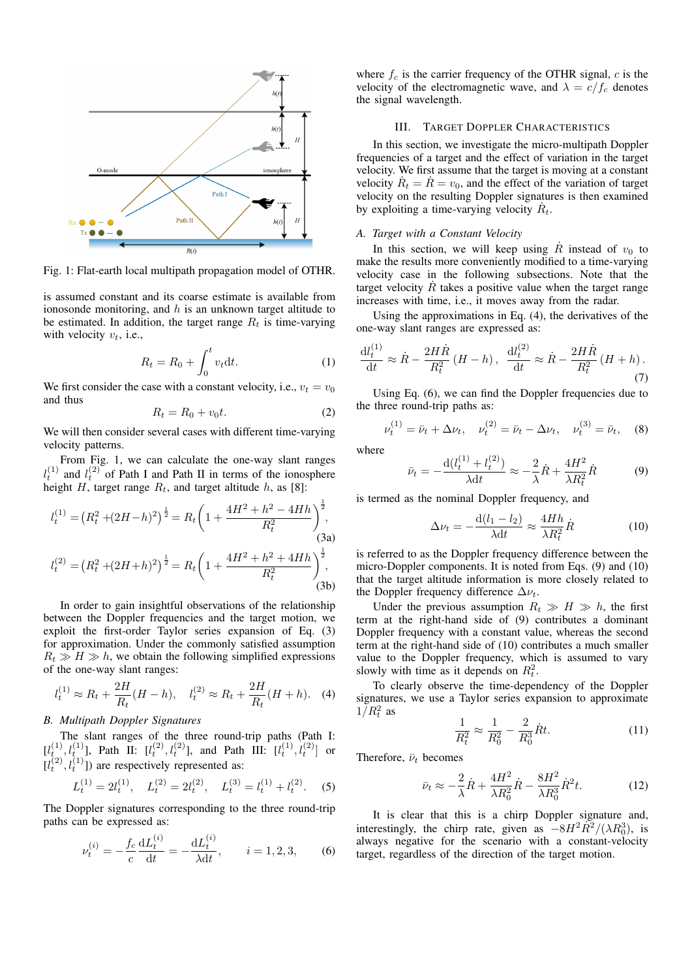

Fig. 1: Flat-earth local multipath propagation model of OTHR.

is assumed constant and its coarse estimate is available from ionosonde monitoring, and  $h$  is an unknown target altitude to be estimated. In addition, the target range  $R_t$  is time-varying with velocity  $v_t$ , i.e.,

$$
R_t = R_0 + \int_0^t v_t dt.
$$
 (1)

We first consider the case with a constant velocity, i.e.,  $v_t = v_0$ and thus

$$
R_t = R_0 + v_0 t. \tag{2}
$$

We will then consider several cases with different time-varying velocity patterns.

From Fig. 1, we can calculate the one-way slant ranges  $l_t^{(1)}$  and  $l_t^{(2)}$  of Path I and Path II in terms of the ionosphere height H, target range  $R_t$ , and target altitude h, as [8]:

$$
l_t^{(1)} = (R_t^2 + (2H - h)^2)^{\frac{1}{2}} = R_t \left( 1 + \frac{4H^2 + h^2 - 4Hh}{R_t^2} \right)^{\frac{1}{2}},
$$
\n(3a)\n
$$
l_t^{(2)} = (R_t^2 + (2H + h)^2)^{\frac{1}{2}} = R_t \left( 1 + \frac{4H^2 + h^2 + 4Hh}{R_t^2} \right)^{\frac{1}{2}},
$$
\n(3b)

In order to gain insightful observations of the relationship between the Doppler frequencies and the target motion, we exploit the first-order Taylor series expansion of Eq. (3) for approximation. Under the commonly satisfied assumption  $R_t \gg H \gg h$ , we obtain the following simplified expressions of the one-way slant ranges:

$$
l_t^{(1)} \approx R_t + \frac{2H}{R_t}(H - h), \quad l_t^{(2)} \approx R_t + \frac{2H}{R_t}(H + h). \quad (4)
$$

## *B. Multipath Doppler Signatures*

The slant ranges of the three round-trip paths (Path I:  $[l_{t_{\infty}}^{(1)}, l_{t_{\infty}}^{(1)}]$ , Path II:  $[l_t^{(2)}, l_t^{(2)}]$ , and Path III:  $[l_t^{(1)}, l_t^{(2)}]$  or  $[l_t^{(2)}, l_t^{(1)}]$ ) are respectively represented as:

$$
L_t^{(1)} = 2l_t^{(1)}, \quad L_t^{(2)} = 2l_t^{(2)}, \quad L_t^{(3)} = l_t^{(1)} + l_t^{(2)}.
$$
 (5)

The Doppler signatures corresponding to the three round-trip paths can be expressed as:

$$
\nu_t^{(i)} = -\frac{f_c}{c} \frac{\mathrm{d}L_t^{(i)}}{\mathrm{d}t} = -\frac{\mathrm{d}L_t^{(i)}}{\lambda \mathrm{d}t}, \qquad i = 1, 2, 3,\tag{6}
$$

where  $f_c$  is the carrier frequency of the OTHR signal, c is the velocity of the electromagnetic wave, and  $\lambda = c/f_c$  denotes the signal wavelength.

## III. TARGET DOPPLER CHARACTERISTICS

In this section, we investigate the micro-multipath Doppler frequencies of a target and the effect of variation in the target velocity. We first assume that the target is moving at a constant velocity  $\dot{R}_t = \dot{R} = v_0$ , and the effect of the variation of target velocity on the resulting Doppler signatures is then examined by exploiting a time-varying velocity  $\dot{R}_t$ .

## *A. Target with a Constant Velocity*

In this section, we will keep using  $\dot{R}$  instead of  $v_0$  to make the results more conveniently modified to a time-varying velocity case in the following subsections. Note that the target velocity  $\dot{R}$  takes a positive value when the target range increases with time, i.e., it moves away from the radar.

Using the approximations in Eq. (4), the derivatives of the one-way slant ranges are expressed as:

$$
\frac{dl_t^{(1)}}{dt} \approx \dot{R} - \frac{2H\dot{R}}{R_t^2} (H - h), \quad \frac{dl_t^{(2)}}{dt} \approx \dot{R} - \frac{2H\dot{R}}{R_t^2} (H + h).
$$
\n(7)

Using Eq. (6), we can find the Doppler frequencies due to the three round-trip paths as:

$$
\nu_t^{(1)} = \bar{\nu}_t + \Delta \nu_t, \quad \nu_t^{(2)} = \bar{\nu}_t - \Delta \nu_t, \quad \nu_t^{(3)} = \bar{\nu}_t, \quad (8)
$$

where

$$
\bar{\nu}_t = -\frac{\mathrm{d}(l_t^{(1)} + l_t^{(2)})}{\lambda \mathrm{d}t} \approx -\frac{2}{\lambda} \dot{R} + \frac{4H^2}{\lambda R_t^2} \dot{R}
$$
(9)

is termed as the nominal Doppler frequency, and

$$
\Delta \nu_t = -\frac{\mathrm{d}(l_1 - l_2)}{\lambda \mathrm{d}t} \approx \frac{4Hh}{\lambda R_t^2} \dot{R}
$$
 (10)

is referred to as the Doppler frequency difference between the micro-Doppler components. It is noted from Eqs. (9) and (10) that the target altitude information is more closely related to the Doppler frequency difference  $\Delta \nu_t$ .

Under the previous assumption  $R_t \gg H \gg h$ , the first term at the right-hand side of (9) contributes a dominant Doppler frequency with a constant value, whereas the second term at the right-hand side of (10) contributes a much smaller value to the Doppler frequency, which is assumed to vary slowly with time as it depends on  $R_t^2$ .

To clearly observe the time-dependency of the Doppler signatures, we use a Taylor series expansion to approximate  $1/R_t^2$  as

$$
\frac{1}{R_t^2} \approx \frac{1}{R_0^2} - \frac{2}{R_0^3} \dot{R}t.
$$
 (11)

Therefore,  $\bar{\nu}_t$  becomes

$$
\bar{\nu}_t \approx -\frac{2}{\lambda} \dot{R} + \frac{4H^2}{\lambda R_0^2} \dot{R} - \frac{8H^2}{\lambda R_0^3} \dot{R}^2 t.
$$
 (12)

It is clear that this is a chirp Doppler signature and, interestingly, the chirp rate, given as  $-8H^2R^2/(\lambda R_0^3)$ , is always negative for the scenario with a constant-velocity target, regardless of the direction of the target motion.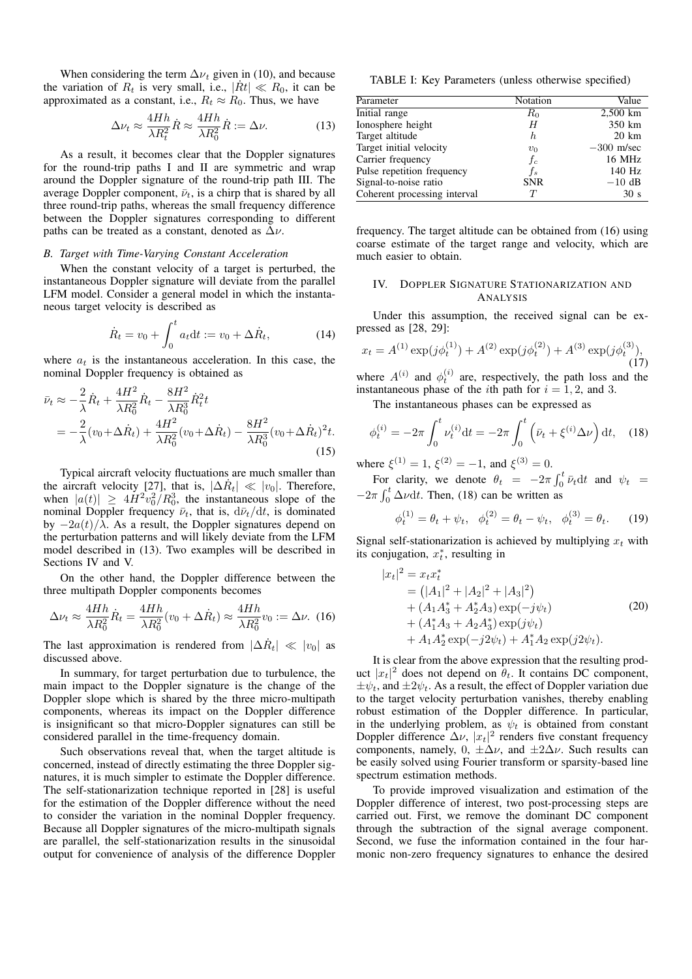When considering the term  $\Delta \nu_t$  given in (10), and because the variation of  $R_t$  is very small, i.e.,  $|\dot{R}t| \ll R_0$ , it can be approximated as a constant, i.e.,  $R_t \approx R_0$ . Thus, we have

$$
\Delta \nu_t \approx \frac{4Hh}{\lambda R_t^2} \dot{R} \approx \frac{4Hh}{\lambda R_0^2} \dot{R} := \Delta \nu.
$$
 (13)

As a result, it becomes clear that the Doppler signatures for the round-trip paths I and II are symmetric and wrap around the Doppler signature of the round-trip path III. The average Doppler component,  $\bar{\nu}_t$ , is a chirp that is shared by all three round-trip paths, whereas the small frequency difference between the Doppler signatures corresponding to different paths can be treated as a constant, denoted as  $\Delta \nu$ .

#### *B. Target with Time-Varying Constant Acceleration*

When the constant velocity of a target is perturbed, the instantaneous Doppler signature will deviate from the parallel LFM model. Consider a general model in which the instantaneous target velocity is described as

$$
\dot{R}_t = v_0 + \int_0^t a_t dt := v_0 + \Delta \dot{R}_t, \tag{14}
$$

where  $a_t$  is the instantaneous acceleration. In this case, the nominal Doppler frequency is obtained as

$$
\bar{\nu}_t \approx -\frac{2}{\lambda} \dot{R}_t + \frac{4H^2}{\lambda R_0^2} \dot{R}_t - \frac{8H^2}{\lambda R_0^3} \dot{R}_t^2 t \n= -\frac{2}{\lambda} (v_0 + \Delta \dot{R}_t) + \frac{4H^2}{\lambda R_0^2} (v_0 + \Delta \dot{R}_t) - \frac{8H^2}{\lambda R_0^3} (v_0 + \Delta \dot{R}_t)^2 t.
$$
\n(15)

Typical aircraft velocity fluctuations are much smaller than the aircraft velocity [27], that is,  $|\Delta \dot{R}_t| \ll |v_0|$ . Therefore, when  $|a(t)| \geq 4H^2v_0^2/R_0^3$ , the instantaneous slope of the nominal Doppler frequency  $\bar{\nu}_t$ , that is,  $d\bar{\nu}_t/dt$ , is dominated by  $-2a(t)/\lambda$ . As a result, the Doppler signatures depend on the perturbation patterns and will likely deviate from the LFM model described in (13). Two examples will be described in Sections IV and V.

On the other hand, the Doppler difference between the three multipath Doppler components becomes

$$
\Delta \nu_t \approx \frac{4Hh}{\lambda R_0^2} \dot{R}_t = \frac{4Hh}{\lambda R_0^2} (v_0 + \Delta \dot{R}_t) \approx \frac{4Hh}{\lambda R_0^2} v_0 := \Delta \nu.
$$
 (16)

The last approximation is rendered from  $|\Delta \dot{R}_t| \ll |v_0|$  as discussed above.

In summary, for target perturbation due to turbulence, the main impact to the Doppler signature is the change of the Doppler slope which is shared by the three micro-multipath components, whereas its impact on the Doppler difference is insignificant so that micro-Doppler signatures can still be considered parallel in the time-frequency domain.

Such observations reveal that, when the target altitude is concerned, instead of directly estimating the three Doppler signatures, it is much simpler to estimate the Doppler difference. The self-stationarization technique reported in [28] is useful for the estimation of the Doppler difference without the need to consider the variation in the nominal Doppler frequency. Because all Doppler signatures of the micro-multipath signals are parallel, the self-stationarization results in the sinusoidal output for convenience of analysis of the difference Doppler

TABLE I: Key Parameters (unless otherwise specified)

| Parameter                    | Notation         | Value           |
|------------------------------|------------------|-----------------|
| Initial range                | $R_0$            | $2,500$ km      |
| Ionosphere height            | H                | 350 km          |
| Target altitude              | $\boldsymbol{h}$ | $20 \text{ km}$ |
| Target initial velocity      | $v_0$            | $-300$ m/sec    |
| Carrier frequency            | $f_c$            | 16 MHz          |
| Pulse repetition frequency   | $f_s$            | 140 Hz          |
| Signal-to-noise ratio        | <b>SNR</b>       | $-10$ dB        |
| Coherent processing interval | $\tau$           | 30 <sub>s</sub> |

frequency. The target altitude can be obtained from (16) using coarse estimate of the target range and velocity, which are much easier to obtain.

# IV. DOPPLER SIGNATURE STATIONARIZATION AND ANALYSIS

Under this assumption, the received signal can be expressed as [28, 29]:

$$
x_t = A^{(1)} \exp(j\phi_t^{(1)}) + A^{(2)} \exp(j\phi_t^{(2)}) + A^{(3)} \exp(j\phi_t^{(3)}),
$$
\n(17)

where  $A^{(i)}$  and  $\phi_t^{(i)}$  are, respectively, the path loss and the instantaneous phase of the *i*th path for  $i = 1, 2$ , and 3.

The instantaneous phases can be expressed as

$$
\phi_t^{(i)} = -2\pi \int_0^t \nu_t^{(i)} dt = -2\pi \int_0^t \left(\bar{\nu}_t + \xi^{(i)} \Delta \nu\right) dt, \quad (18)
$$

where  $\xi^{(1)} = 1$ ,  $\xi^{(2)} = -1$ , and  $\xi^{(3)} = 0$ .

For clarity, we denote  $\theta_t = -2\pi \int_0^t \bar{\nu}_t dt$  and  $\psi_t =$  $-2\pi \int_0^t \Delta \nu dt$ . Then, (18) can be written as

$$
\phi_t^{(1)} = \theta_t + \psi_t, \quad \phi_t^{(2)} = \theta_t - \psi_t, \quad \phi_t^{(3)} = \theta_t. \tag{19}
$$

Signal self-stationarization is achieved by multiplying  $x_t$  with its conjugation,  $x_t^*$ , resulting in

$$
|x_t|^2 = x_t x_t^*
$$
  
=  $(|A_1|^2 + |A_2|^2 + |A_3|^2)$   
+  $(A_1 A_3^* + A_2^* A_3) \exp(-j\psi_t)$   
+  $(A_1^* A_3 + A_2 A_3^*) \exp(j\psi_t)$   
+  $A_1 A_2^* \exp(-j2\psi_t) + A_1^* A_2 \exp(j2\psi_t).$  (20)

It is clear from the above expression that the resulting product  $|x_t|^2$  does not depend on  $\hat{\theta}_t$ . It contains DC component,  $\pm \psi_t$ , and  $\pm 2\psi_t$ . As a result, the effect of Doppler variation due to the target velocity perturbation vanishes, thereby enabling robust estimation of the Doppler difference. In particular, in the underlying problem, as  $\psi_t$  is obtained from constant Doppler difference  $\Delta \nu$ ,  $|x_t|^2$  renders five constant frequency components, namely,  $0, \pm \Delta \nu$ , and  $\pm 2\Delta \nu$ . Such results can be easily solved using Fourier transform or sparsity-based line spectrum estimation methods.

To provide improved visualization and estimation of the Doppler difference of interest, two post-processing steps are carried out. First, we remove the dominant DC component through the subtraction of the signal average component. Second, we fuse the information contained in the four harmonic non-zero frequency signatures to enhance the desired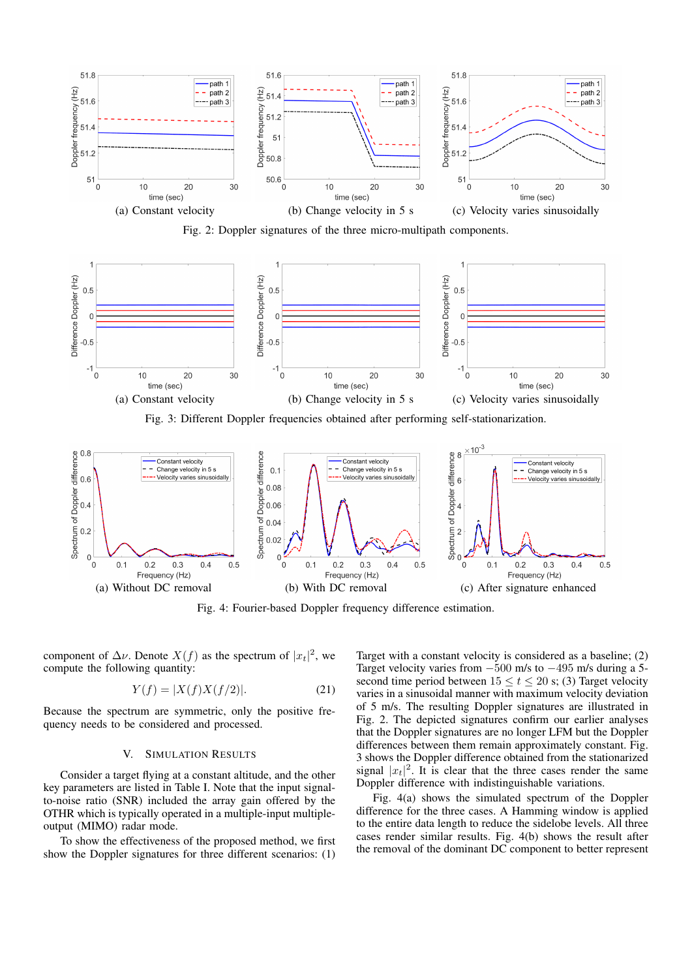

Fig. 2: Doppler signatures of the three micro-multipath components.



Fig. 3: Different Doppler frequencies obtained after performing self-stationarization.



Fig. 4: Fourier-based Doppler frequency difference estimation.

component of  $\Delta \nu$ . Denote  $X(f)$  as the spectrum of  $|x_t|^2$ , we compute the following quantity:

$$
Y(f) = |X(f)X(f/2)|.
$$
 (21)

Because the spectrum are symmetric, only the positive frequency needs to be considered and processed.

#### V. SIMULATION RESULTS

Consider a target flying at a constant altitude, and the other key parameters are listed in Table I. Note that the input signalto-noise ratio (SNR) included the array gain offered by the OTHR which is typically operated in a multiple-input multipleoutput (MIMO) radar mode.

To show the effectiveness of the proposed method, we first show the Doppler signatures for three different scenarios: (1)

Target with a constant velocity is considered as a baseline; (2) Target velocity varies from −500 m/s to −495 m/s during a 5 second time period between  $15 \le t \le 20$  s; (3) Target velocity varies in a sinusoidal manner with maximum velocity deviation of 5 m/s. The resulting Doppler signatures are illustrated in Fig. 2. The depicted signatures confirm our earlier analyses that the Doppler signatures are no longer LFM but the Doppler differences between them remain approximately constant. Fig. 3 shows the Doppler difference obtained from the stationarized signal  $|x_t|^2$ . It is clear that the three cases render the same Doppler difference with indistinguishable variations.

Fig. 4(a) shows the simulated spectrum of the Doppler difference for the three cases. A Hamming window is applied to the entire data length to reduce the sidelobe levels. All three cases render similar results. Fig. 4(b) shows the result after the removal of the dominant DC component to better represent